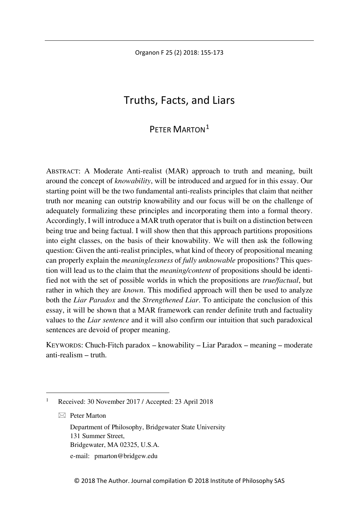Organon F 25 (2) 2018: 155-173

# Truths, Facts, and Liars

# PETER MARTON<sup>[1](#page-0-0)</sup>

ABSTRACT: A Moderate Anti-realist (MAR) approach to truth and meaning, built around the concept of *knowability*, will be introduced and argued for in this essay. Our starting point will be the two fundamental anti-realists principles that claim that neither truth nor meaning can outstrip knowability and our focus will be on the challenge of adequately formalizing these principles and incorporating them into a formal theory. Accordingly, I will introduce a MAR truth operator that is built on a distinction between being true and being factual. I will show then that this approach partitions propositions into eight classes, on the basis of their knowability. We will then ask the following question: Given the anti-realist principles, what kind of theory of propositional meaning can properly explain the *meaninglessness* of *fully unknowable* propositions? This question will lead us to the claim that the *meaning/content* of propositions should be identified not with the set of possible worlds in which the propositions are *true/factual*, but rather in which they are *known*. This modified approach will then be used to analyze both the *Liar Paradox* and the *Strengthened Liar*. To anticipate the conclusion of this essay, it will be shown that a MAR framework can render definite truth and factuality values to the *Liar sentence* and it will also confirm our intuition that such paradoxical sentences are devoid of proper meaning.

KEYWORDS: Chuch-Fitch paradox – knowability – Liar Paradox – meaning – moderate anti-realism – truth.

 $\boxtimes$  Peter Marton

Department of Philosophy, Bridgewater State University 131 Summer Street, Bridgewater, MA 02325, U.S.A. e-mail: pmarton@bridgew.edu

<span id="page-0-0"></span> <sup>1</sup> Received: 30 November 2017 / Accepted: 23 April <sup>2018</sup>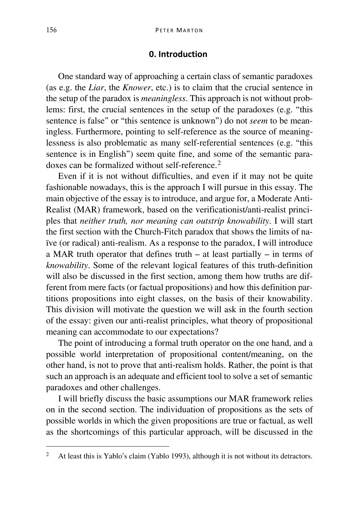## **0. Introduction**

One standard way of approaching a certain class of semantic paradoxes (as e.g. the *Liar*, the *Knower*, etc.) is to claim that the crucial sentence in the setup of the paradox is *meaningless*. This approach is not without problems: first, the crucial sentences in the setup of the paradoxes (e.g. "this sentence is false" or "this sentence is unknown") do not *seem* to be meaningless. Furthermore, pointing to self-reference as the source of meaninglessness is also problematic as many self-referential sentences (e.g. "this sentence is in English") seem quite fine, and some of the semantic paradoxes can be formalized without self-reference.[2](#page-1-0)

Even if it is not without difficulties, and even if it may not be quite fashionable nowadays, this is the approach I will pursue in this essay. The main objective of the essay is to introduce, and argue for, a Moderate Anti-Realist (MAR) framework, based on the verificationist/anti-realist principles that *neither truth, nor meaning can outstrip knowability*. I will start the first section with the Church-Fitch paradox that shows the limits of naïve (or radical) anti-realism. As a response to the paradox, I will introduce a MAR truth operator that defines truth – at least partially – in terms of *knowability*. Some of the relevant logical features of this truth-definition will also be discussed in the first section, among them how truths are different from mere facts (or factual propositions) and how this definition partitions propositions into eight classes, on the basis of their knowability. This division will motivate the question we will ask in the fourth section of the essay: given our anti-realist principles, what theory of propositional meaning can accommodate to our expectations?

The point of introducing a formal truth operator on the one hand, and a possible world interpretation of propositional content/meaning, on the other hand, is not to prove that anti-realism holds. Rather, the point is that such an approach is an adequate and efficient tool to solve a set of semantic paradoxes and other challenges.

I will briefly discuss the basic assumptions our MAR framework relies on in the second section. The individuation of propositions as the sets of possible worlds in which the given propositions are true or factual, as well as the shortcomings of this particular approach, will be discussed in the

<span id="page-1-0"></span> <sup>2</sup> At least this is Yablo's claim (Yablo 1993), although it is not without its detractors.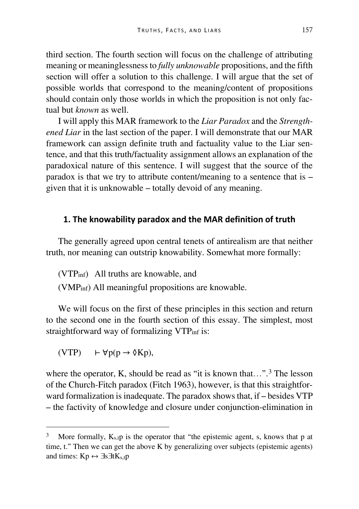third section. The fourth section will focus on the challenge of attributing meaning or meaninglessness to *fully unknowable* propositions, and the fifth section will offer a solution to this challenge. I will argue that the set of possible worlds that correspond to the meaning/content of propositions should contain only those worlds in which the proposition is not only factual but *known* as well.

I will apply this MAR framework to the *Liar Paradox* and the *Strengthened Liar* in the last section of the paper. I will demonstrate that our MAR framework can assign definite truth and factuality value to the Liar sentence, and that this truth/factuality assignment allows an explanation of the paradoxical nature of this sentence. I will suggest that the source of the paradox is that we try to attribute content/meaning to a sentence that is – given that it is unknowable – totally devoid of any meaning.

### **1. The knowability paradox and the MAR definition of truth**

The generally agreed upon central tenets of antirealism are that neither truth, nor meaning can outstrip knowability. Somewhat more formally:

(VTPinf) All truths are knowable, and

(VMPinf) All meaningful propositions are knowable.

We will focus on the first of these principles in this section and return to the second one in the fourth section of this essay. The simplest, most straightforward way of formalizing VTP<sub>inf</sub> is:

 $(VTP)$  ⊢  $\forall p(p \rightarrow \emptyset Kp)$ ,

where the operator, K, should be read as "it is known that...".<sup>[3](#page-2-0)</sup> The lesson of the Church-Fitch paradox (Fitch 1963), however, is that this straightforward formalization is inadequate. The paradox shows that, if – besides VTP – the factivity of knowledge and closure under conjunction-elimination in

<span id="page-2-0"></span>More formally,  $K_s$ ,  $p$  is the operator that "the epistemic agent, s, knows that p at time, t." Then we can get the above K by generalizing over subjects (epistemic agents) and times:  $Kp \leftrightarrow \exists s \exists t K_{s,t}p$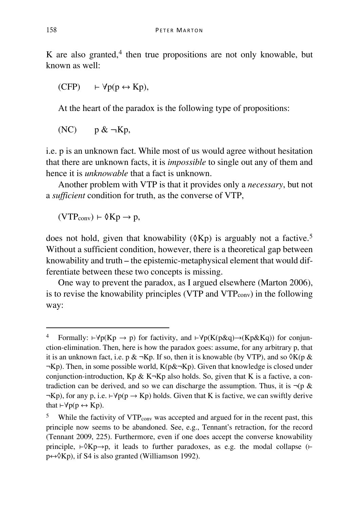K are also granted, $4$  then true propositions are not only knowable, but known as well:

$$
(CFP) \qquad \vdash \forall p(p \leftrightarrow Kp),
$$

At the heart of the paradox is the following type of propositions:

 $(NC)$  p &  $\neg$ Kp,

i.e. p is an unknown fact. While most of us would agree without hesitation that there are unknown facts, it is *impossible* to single out any of them and hence it is *unknowable* that a fact is unknown.

Another problem with VTP is that it provides only a *necessary*, but not a *sufficient* condition for truth, as the converse of VTP,

 $(VTP_{conv}) \vdash \lozenge Kp \rightarrow p$ ,

does not hold, given that knowability ( $\delta$ Kp) is arguably not a factive.<sup>[5](#page-3-1)</sup> Without a sufficient condition, however, there is a theoretical gap between knowability and truth – the epistemic-metaphysical element that would differentiate between these two concepts is missing.

One way to prevent the paradox, as I argued elsewhere (Marton 2006), is to revise the knowability principles (VTP and VTPconv) in the following way:

<span id="page-3-0"></span><sup>4</sup> Formally: ⊢ $\forall p(Kp \rightarrow p)$  for factivity, and ⊢ $\forall p(K(p\&q) \rightarrow (Kp\&Kq))$  for conjunction-elimination. Then, here is how the paradox goes: assume, for any arbitrary p, that it is an unknown fact, i.e. p & ¬Kp. If so, then it is knowable (by VTP), and so  $\delta K(p \&$  $\neg$ Kp). Then, in some possible world, K(p& $\neg$ Kp). Given that knowledge is closed under conjunction-introduction,  $Kp \& K\neg Kp$  also holds. So, given that K is a factive, a contradiction can be derived, and so we can discharge the assumption. Thus, it is  $\neg$ (p &  $\neg$ Kp), for any p, i.e. ⊢ $\forall p(p \rightarrow Kp)$  holds. Given that K is factive, we can swiftly derive that  $\vdash \forall p(p \leftrightarrow Kp)$ .

<span id="page-3-1"></span>While the factivity of VTP<sub>conv</sub> was accepted and argued for in the recent past, this principle now seems to be abandoned. See, e.g., Tennant's retraction, for the record (Tennant 2009, 225). Furthermore, even if one does accept the converse knowability principle,  $\vdash \Diamond Kp \rightarrow p$ , it leads to further paradoxes, as e.g. the modal collapse ( $\vdash$  $p \leftrightarrow \Diamond Kp$ , if S4 is also granted (Williamson 1992).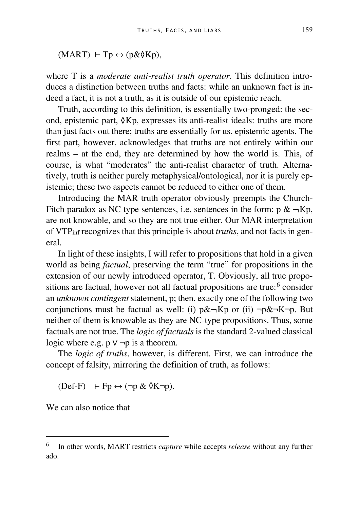$(MART)$  ⊢ Tp  $\leftrightarrow$  (p& $\&$ Kp),

where T is a *moderate anti-realist truth operator*. This definition introduces a distinction between truths and facts: while an unknown fact is indeed a fact, it is not a truth, as it is outside of our epistemic reach.

Truth, according to this definition, is essentially two-pronged: the second, epistemic part, ◊Kp, expresses its anti-realist ideals: truths are more than just facts out there; truths are essentially for us, epistemic agents. The first part, however, acknowledges that truths are not entirely within our realms – at the end, they are determined by how the world is. This, of course, is what "moderates" the anti-realist character of truth. Alternatively, truth is neither purely metaphysical/ontological, nor it is purely epistemic; these two aspects cannot be reduced to either one of them.

Introducing the MAR truth operator obviously preempts the Church-Fitch paradox as NC type sentences, i.e. sentences in the form:  $p \& \neg Kp$ , are not knowable, and so they are not true either. Our MAR interpretation of VTPinf recognizes that this principle is about *truths*, and not facts in general.

In light of these insights, I will refer to propositions that hold in a given world as being *factual*, preserving the term "true" for propositions in the extension of our newly introduced operator, T. Obviously, all true propositions are factual, however not all factual propositions are true: $6 \text{ consider}$  $6 \text{ consider}$ an *unknown contingent* statement, p; then, exactly one of the following two conjunctions must be factual as well: (i)  $p\&\neg Kp$  or (ii)  $\neg p\&\neg K\neg p$ . But neither of them is knowable as they are NC-type propositions. Thus, some factuals are not true. The *logic of factuals* is the standard 2-valued classical logic where e.g.  $p \vee \neg p$  is a theorem.

The *logic of truths*, however, is different. First, we can introduce the concept of falsity, mirroring the definition of truth, as follows:

 $(Def-F) \vdash Fp \leftrightarrow (\neg p \& \Diamond K\neg p).$ 

We can also notice that

<span id="page-4-0"></span> <sup>6</sup> In other words, MART restricts *capture* while accepts *release* without any further ado.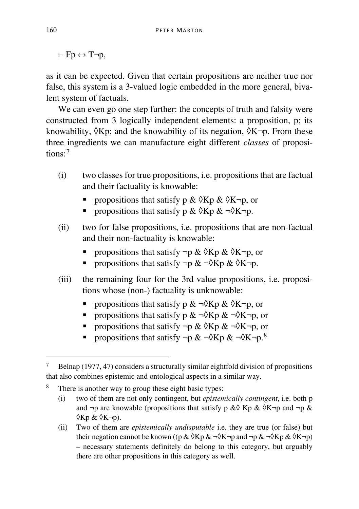$\vdash$  Fn  $\leftrightarrow$  T $\neg$ n.

as it can be expected. Given that certain propositions are neither true nor false, this system is a 3-valued logic embedded in the more general, bivalent system of factuals.

We can even go one step further: the concepts of truth and falsity were constructed from 3 logically independent elements: a proposition, p; its knowability,  $\delta$ Kp; and the knowability of its negation,  $\delta$ K $\neg$ p. From these three ingredients we can manufacture eight different *classes* of propositions:[7](#page-5-0)

- (i) two classes for true propositions, i.e. propositions that are factual and their factuality is knowable:
	- propositions that satisfy p &  $\Diamond$ Kp &  $\Diamond$ K $\neg$ p, or
	- propositions that satisfy p &  $\Diamond$ Kp &  $\neg \Diamond$ K $\neg$ p.
- (ii) two for false propositions, i.e. propositions that are non-factual and their non-factuality is knowable:
	- propositions that satisfy  $\neg p \& \Diamond Kp \& \Diamond K\neg p$ , or
	- propositions that satisfy  $\neg p \& \neg \Diamond Kp \& \Diamond K\neg p$ .
- (iii) the remaining four for the 3rd value propositions, i.e. propositions whose (non-) factuality is unknowable:
	- propositions that satisfy p &  $\neg$  $\Diamond$ Kp &  $\Diamond$ K $\neg$ p, or
	- propositions that satisfy  $p \& \neg \Diamond Kp \& \neg \Diamond K\neg p$ , or
	- propositions that satisfy  $\neg p \& \Diamond Kp \& \neg \Diamond K\neg p$ , or
	- propositions that satisfy  $\neg p \& \neg \Diamond \text{Kp} \& \neg \Diamond \text{Kp} \& \neg \Diamond$

<span id="page-5-0"></span><sup>&</sup>lt;sup>7</sup> Belnap (1977, 47) considers a structurally similar eightfold division of propositions that also combines epistemic and ontological aspects in a similar way.

<span id="page-5-1"></span><sup>8</sup> There is another way to group these eight basic types:

<sup>(</sup>i) two of them are not only contingent, but *epistemically contingent*, i.e. both p and  $\neg p$  are knowable (propositions that satisfy p &  $\Diamond$  Kp &  $\Diamond$ K $\neg p$  and  $\neg p$  &  $(Xp \& QK\neg p)$ .

<sup>(</sup>ii) Two of them are *epistemically undisputable* i.e. they are true (or false) but their negation cannot be known ((p &  $\&$   $\&$   $\&$   $\rightarrow$   $\&$   $\neg$  and  $\neg$   $\&$   $\neg$  $\&$   $\&$   $\&$   $\&$   $\&$   $\neg$  $\vee$ – necessary statements definitely do belong to this category, but arguably there are other propositions in this category as well.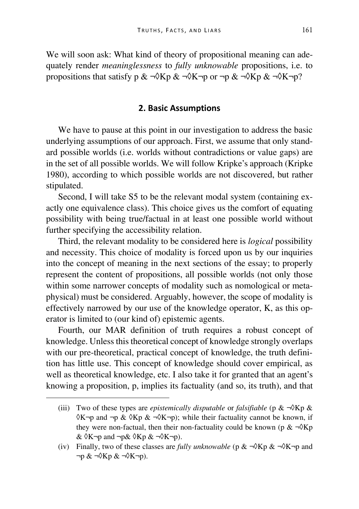We will soon ask: What kind of theory of propositional meaning can adequately render *meaninglessness* to *fully unknowable* propositions, i.e. to propositions that satisfy p &  $\neg$ \(Xp &  $\neg$ \(Xp or  $\neg$ p &  $\neg$ \(Xp &  $\neg$ \(X $\neg$ p?

## **2. Basic Assumptions**

We have to pause at this point in our investigation to address the basic underlying assumptions of our approach. First, we assume that only standard possible worlds (i.e. worlds without contradictions or value gaps) are in the set of all possible worlds. We will follow Kripke's approach (Kripke 1980), according to which possible worlds are not discovered, but rather stipulated.

Second, I will take S5 to be the relevant modal system (containing exactly one equivalence class). This choice gives us the comfort of equating possibility with being true/factual in at least one possible world without further specifying the accessibility relation.

Third, the relevant modality to be considered here is *logical* possibility and necessity. This choice of modality is forced upon us by our inquiries into the concept of meaning in the next sections of the essay; to properly represent the content of propositions, all possible worlds (not only those within some narrower concepts of modality such as nomological or metaphysical) must be considered. Arguably, however, the scope of modality is effectively narrowed by our use of the knowledge operator, K, as this operator is limited to (our kind of) epistemic agents.

Fourth, our MAR definition of truth requires a robust concept of knowledge. Unless this theoretical concept of knowledge strongly overlaps with our pre-theoretical, practical concept of knowledge, the truth definition has little use. This concept of knowledge should cover empirical, as well as theoretical knowledge, etc. I also take it for granted that an agent's knowing a proposition, p, implies its factuality (and so, its truth), and that

I

<sup>(</sup>iii) Two of these types are *epistemically disputable* or *falsifiable* ( $p \& \neg \sqrt[3]{Kp} \&$  $\delta K$ ¬p and ¬p &  $\delta K p \& \neg \delta K \neg p$ ; while their factuality cannot be known, if they were non-factual, then their non-factuality could be known (p  $\& \neg \Diamond Kp$  $& \Diamond K \neg p$  and  $\neg p& \Diamond Kp & \neg \Diamond K \neg p$ .

<sup>(</sup>iv) Finally, two of these classes are *fully unknowable* (p & ¬◊Kp & ¬◊K¬p and  $\neg p \& \neg \Diamond$ K $p \& \neg \Diamond$ K $\neg p$ ).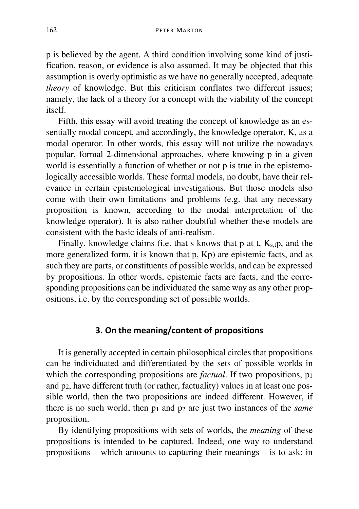p is believed by the agent. A third condition involving some kind of justification, reason, or evidence is also assumed. It may be objected that this assumption is overly optimistic as we have no generally accepted, adequate *theory* of knowledge. But this criticism conflates two different issues: namely, the lack of a theory for a concept with the viability of the concept itself.

Fifth, this essay will avoid treating the concept of knowledge as an essentially modal concept, and accordingly, the knowledge operator, K, as a modal operator. In other words, this essay will not utilize the nowadays popular, formal 2-dimensional approaches, where knowing p in a given world is essentially a function of whether or not p is true in the epistemologically accessible worlds. These formal models, no doubt, have their relevance in certain epistemological investigations. But those models also come with their own limitations and problems (e.g. that any necessary proposition is known, according to the modal interpretation of the knowledge operator). It is also rather doubtful whether these models are consistent with the basic ideals of anti-realism.

Finally, knowledge claims (i.e. that s knows that p at t,  $K_{s,t}$  p, and the more generalized form, it is known that p, Kp) are epistemic facts, and as such they are parts, or constituents of possible worlds, and can be expressed by propositions. In other words, epistemic facts are facts, and the corresponding propositions can be individuated the same way as any other propositions, i.e. by the corresponding set of possible worlds.

## **3. On the meaning/content of propositions**

It is generally accepted in certain philosophical circles that propositions can be individuated and differentiated by the sets of possible worlds in which the corresponding propositions are *factual*. If two propositions, p<sub>1</sub> and p2, have different truth (or rather, factuality) values in at least one possible world, then the two propositions are indeed different. However, if there is no such world, then p1 and p2 are just two instances of the *same* proposition.

By identifying propositions with sets of worlds, the *meaning* of these propositions is intended to be captured. Indeed, one way to understand propositions – which amounts to capturing their meanings – is to ask: in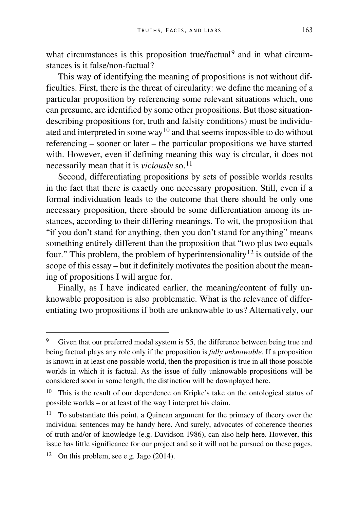what circumstances is this proposition true/factual<sup>[9](#page-8-0)</sup> and in what circumstances is it false/non-factual?

This way of identifying the meaning of propositions is not without difficulties. First, there is the threat of circularity: we define the meaning of a particular proposition by referencing some relevant situations which, one can presume, are identified by some other propositions. But those situationdescribing propositions (or, truth and falsity conditions) must be individu-ated and interpreted in some way<sup>[10](#page-8-1)</sup> and that seems impossible to do without referencing – sooner or later – the particular propositions we have started with. However, even if defining meaning this way is circular, it does not necessarily mean that it is *viciously* so.<sup>[11](#page-8-2)</sup>

Second, differentiating propositions by sets of possible worlds results in the fact that there is exactly one necessary proposition. Still, even if a formal individuation leads to the outcome that there should be only one necessary proposition, there should be some differentiation among its instances, according to their differing meanings. To wit, the proposition that "if you don't stand for anything, then you don't stand for anything" means something entirely different than the proposition that "two plus two equals four." This problem, the problem of hyperintensionality<sup>[12](#page-8-3)</sup> is outside of the scope of this essay – but it definitely motivates the position about the meaning of propositions I will argue for.

Finally, as I have indicated earlier, the meaning/content of fully unknowable proposition is also problematic. What is the relevance of differentiating two propositions if both are unknowable to us? Alternatively, our

<span id="page-8-0"></span>Given that our preferred modal system is S5, the difference between being true and being factual plays any role only if the proposition is *fully unknowable*. If a proposition is known in at least one possible world, then the proposition is true in all those possible worlds in which it is factual. As the issue of fully unknowable propositions will be considered soon in some length, the distinction will be downplayed here.

<span id="page-8-1"></span>This is the result of our dependence on Kripke's take on the ontological status of possible worlds – or at least of the way I interpret his claim.

<span id="page-8-2"></span><sup>&</sup>lt;sup>11</sup> To substantiate this point, a Quinean argument for the primacy of theory over the individual sentences may be handy here. And surely, advocates of coherence theories of truth and/or of knowledge (e.g. Davidson 1986), can also help here. However, this issue has little significance for our project and so it will not be pursued on these pages.

<span id="page-8-3"></span><sup>&</sup>lt;sup>12</sup> On this problem, see e.g. Jago  $(2014)$ .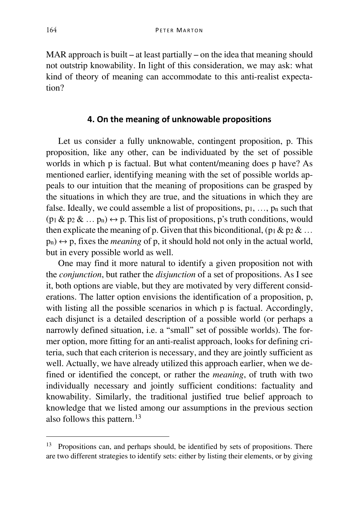MAR approach is built – at least partially – on the idea that meaning should not outstrip knowability. In light of this consideration, we may ask: what kind of theory of meaning can accommodate to this anti-realist expectation?

## **4. On the meaning of unknowable propositions**

Let us consider a fully unknowable, contingent proposition, p. This proposition, like any other, can be individuated by the set of possible worlds in which p is factual. But what content/meaning does p have? As mentioned earlier, identifying meaning with the set of possible worlds appeals to our intuition that the meaning of propositions can be grasped by the situations in which they are true, and the situations in which they are false. Ideally, we could assemble a list of propositions,  $p_1, \ldots, p_n$  such that  $(p_1 \& p_2 \& \dots p_n) \leftrightarrow p$ . This list of propositions, p's truth conditions, would then explicate the meaning of p. Given that this biconditional, (p<sub>1</sub> & p<sub>2</sub> & ...  $p_n$ )  $\leftrightarrow$  p, fixes the *meaning* of p, it should hold not only in the actual world, but in every possible world as well.

One may find it more natural to identify a given proposition not with the *conjunction*, but rather the *disjunction* of a set of propositions. As I see it, both options are viable, but they are motivated by very different considerations. The latter option envisions the identification of a proposition, p, with listing all the possible scenarios in which p is factual. Accordingly, each disjunct is a detailed description of a possible world (or perhaps a narrowly defined situation, i.e. a "small" set of possible worlds). The former option, more fitting for an anti-realist approach, looks for defining criteria, such that each criterion is necessary, and they are jointly sufficient as well. Actually, we have already utilized this approach earlier, when we defined or identified the concept, or rather the *meaning*, of truth with two individually necessary and jointly sufficient conditions: factuality and knowability. Similarly, the traditional justified true belief approach to knowledge that we listed among our assumptions in the previous section also follows this pattern.[13](#page-9-0)

<span id="page-9-0"></span> <sup>13</sup> Propositions can, and perhaps should, be identified by sets of propositions. There are two different strategies to identify sets: either by listing their elements, or by giving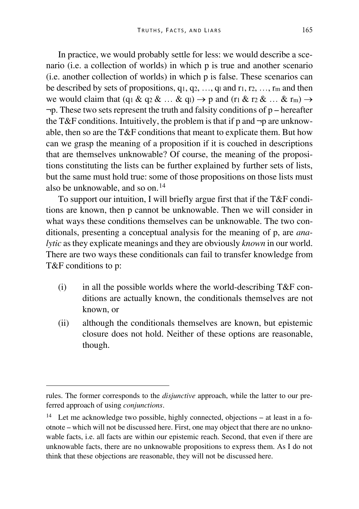In practice, we would probably settle for less: we would describe a scenario (i.e. a collection of worlds) in which p is true and another scenario (i.e. another collection of worlds) in which p is false. These scenarios can be described by sets of propositions,  $q_1, q_2, \ldots, q_l$  and  $r_1, r_2, \ldots, r_m$  and then we would claim that (q<sub>1</sub> & q<sub>2</sub> & … & q<sub>1</sub>)  $\rightarrow$  p and (r<sub>1</sub> & r<sub>2</sub> & … & r<sub>m</sub>)  $\rightarrow$  $\neg p$ . These two sets represent the truth and falsity conditions of  $p$  – hereafter the T&F conditions. Intuitively, the problem is that if p and  $\neg p$  are unknowable, then so are the T&F conditions that meant to explicate them. But how can we grasp the meaning of a proposition if it is couched in descriptions that are themselves unknowable? Of course, the meaning of the propositions constituting the lists can be further explained by further sets of lists, but the same must hold true: some of those propositions on those lists must also be unknowable, and so on.[14](#page-10-0)

To support our intuition, I will briefly argue first that if the T&F conditions are known, then p cannot be unknowable. Then we will consider in what ways these conditions themselves can be unknowable. The two conditionals, presenting a conceptual analysis for the meaning of p, are *analytic* as they explicate meanings and they are obviously *known* in our world. There are two ways these conditionals can fail to transfer knowledge from T&F conditions to p:

- (i) in all the possible worlds where the world-describing  $T\&F$  conditions are actually known, the conditionals themselves are not known, or
- (ii) although the conditionals themselves are known, but epistemic closure does not hold. Neither of these options are reasonable, though.

I

rules. The former corresponds to the *disjunctive* approach, while the latter to our preferred approach of using *conjunctions*.

<span id="page-10-0"></span><sup>&</sup>lt;sup>14</sup> Let me acknowledge two possible, highly connected, objections – at least in a footnote – which will not be discussed here. First, one may object that there are no unknowable facts, i.e. all facts are within our epistemic reach. Second, that even if there are unknowable facts, there are no unknowable propositions to express them. As I do not think that these objections are reasonable, they will not be discussed here.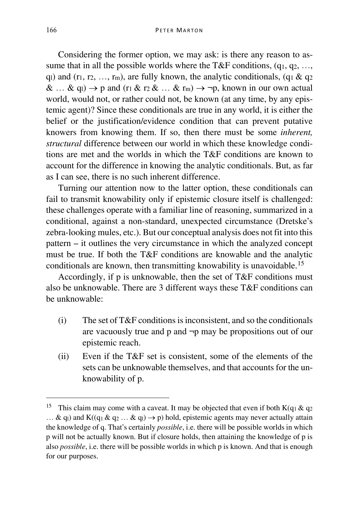Considering the former option, we may ask: is there any reason to assume that in all the possible worlds where the T&F conditions,  $(q_1, q_2, \ldots, q_n)$ q<sub>l</sub>) and ( $r_1, r_2, ..., r_m$ ), are fully known, the analytic conditionals, (q<sub>1</sub> & q<sub>2</sub>)  $\&$  ...  $\&$  q<sub>1</sub>)  $\rightarrow$  p and (r<sub>1</sub>  $\&$  r<sub>2</sub>  $\&$  ...  $\&$  r<sub>m</sub>)  $\rightarrow$  ¬p, known in our own actual world, would not, or rather could not, be known (at any time, by any epistemic agent)? Since these conditionals are true in any world, it is either the belief or the justification/evidence condition that can prevent putative knowers from knowing them. If so, then there must be some *inherent, structural* difference between our world in which these knowledge conditions are met and the worlds in which the T&F conditions are known to account for the difference in knowing the analytic conditionals. But, as far as I can see, there is no such inherent difference.

Turning our attention now to the latter option, these conditionals can fail to transmit knowability only if epistemic closure itself is challenged: these challenges operate with a familiar line of reasoning, summarized in a conditional, against a non-standard, unexpected circumstance (Dretske's zebra-looking mules, etc.). But our conceptual analysis does not fit into this pattern – it outlines the very circumstance in which the analyzed concept must be true. If both the T&F conditions are knowable and the analytic conditionals are known, then transmitting knowability is unavoidable.[15](#page-11-0)

Accordingly, if p is unknowable, then the set of T&F conditions must also be unknowable. There are 3 different ways these T&F conditions can be unknowable:

- $(i)$  The set of T&F conditions is inconsistent, and so the conditionals are vacuously true and p and ¬p may be propositions out of our epistemic reach.
- (ii) Even if the T&F set is consistent, some of the elements of the sets can be unknowable themselves, and that accounts for the unknowability of p.

<span id="page-11-0"></span><sup>&</sup>lt;sup>15</sup> This claim may come with a caveat. It may be objected that even if both K(q<sub>1</sub> & q<sub>2</sub> … & q<sub>l</sub>) and K((q<sub>1</sub> & q<sub>2</sub> … & q<sub>l</sub>) → p) hold, epistemic agents may never actually attain the knowledge of q. That's certainly *possible*, i.e. there will be possible worlds in which p will not be actually known. But if closure holds, then attaining the knowledge of p is also *possible*, i.e. there will be possible worlds in which p is known. And that is enough for our purposes.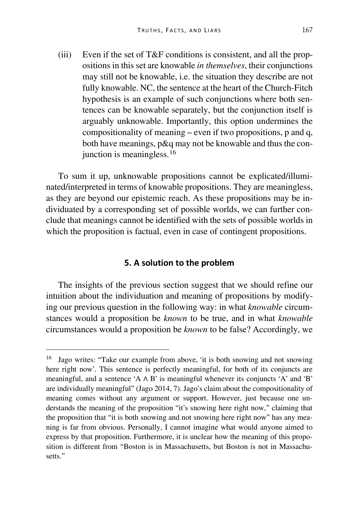(iii) Even if the set of T&F conditions is consistent, and all the propositions in this set are knowable *in themselves*, their conjunctions may still not be knowable, i.e. the situation they describe are not fully knowable. NC, the sentence at the heart of the Church-Fitch hypothesis is an example of such conjunctions where both sentences can be knowable separately, but the conjunction itself is arguably unknowable. Importantly, this option undermines the compositionality of meaning – even if two propositions, p and q, both have meanings, p&q may not be knowable and thus the con-junction is meaningless.<sup>[16](#page-12-0)</sup>

To sum it up, unknowable propositions cannot be explicated/illuminated/interpreted in terms of knowable propositions. They are meaningless, as they are beyond our epistemic reach. As these propositions may be individuated by a corresponding set of possible worlds, we can further conclude that meanings cannot be identified with the sets of possible worlds in which the proposition is factual, even in case of contingent propositions.

#### **5. A solution to the problem**

The insights of the previous section suggest that we should refine our intuition about the individuation and meaning of propositions by modifying our previous question in the following way: in what *knowable* circumstances would a proposition be *known* to be true, and in what *knowable* circumstances would a proposition be *known* to be false? Accordingly, we

<span id="page-12-0"></span><sup>&</sup>lt;sup>16</sup> Jago writes: "Take our example from above, 'it is both snowing and not snowing here right now'. This sentence is perfectly meaningful, for both of its conjuncts are meaningful, and a sentence 'A  $\land$  B' is meaningful whenever its conjuncts 'A' and 'B' are individually meaningful" (Jago 2014, 7). Jago's claim about the compositionality of meaning comes without any argument or support. However, just because one understands the meaning of the proposition "it's snowing here right now," claiming that the proposition that "it is both snowing and not snowing here right now" has any meaning is far from obvious. Personally, I cannot imagine what would anyone aimed to express by that proposition. Furthermore, it is unclear how the meaning of this proposition is different from "Boston is in Massachusetts, but Boston is not in Massachusetts."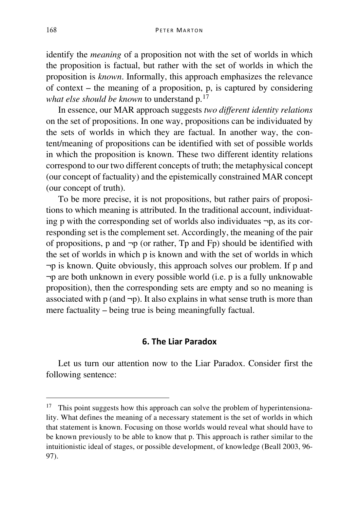identify the *meaning* of a proposition not with the set of worlds in which the proposition is factual, but rather with the set of worlds in which the proposition is *known*. Informally, this approach emphasizes the relevance of context – the meaning of a proposition, p, is captured by considering *what else should be known* to understand p.[17](#page-13-0)

In essence, our MAR approach suggests *two different identity relations* on the set of propositions. In one way, propositions can be individuated by the sets of worlds in which they are factual. In another way, the content/meaning of propositions can be identified with set of possible worlds in which the proposition is known. These two different identity relations correspond to our two different concepts of truth; the metaphysical concept (our concept of factuality) and the epistemically constrained MAR concept (our concept of truth).

To be more precise, it is not propositions, but rather pairs of propositions to which meaning is attributed. In the traditional account, individuating p with the corresponding set of worlds also individuates  $\neg p$ , as its corresponding set is the complement set. Accordingly, the meaning of the pair of propositions, p and  $\neg p$  (or rather, Tp and Fp) should be identified with the set of worlds in which p is known and with the set of worlds in which ¬p is known. Quite obviously, this approach solves our problem. If p and ¬p are both unknown in every possible world (i.e. p is a fully unknowable proposition), then the corresponding sets are empty and so no meaning is associated with  $p$  (and  $\neg p$ ). It also explains in what sense truth is more than mere factuality – being true is being meaningfully factual.

### **6. The Liar Paradox**

Let us turn our attention now to the Liar Paradox. Consider first the following sentence:

<span id="page-13-0"></span><sup>&</sup>lt;sup>17</sup> This point suggests how this approach can solve the problem of hyperintensionality. What defines the meaning of a necessary statement is the set of worlds in which that statement is known. Focusing on those worlds would reveal what should have to be known previously to be able to know that p. This approach is rather similar to the intuitionistic ideal of stages, or possible development, of knowledge (Beall 2003, 96- 97).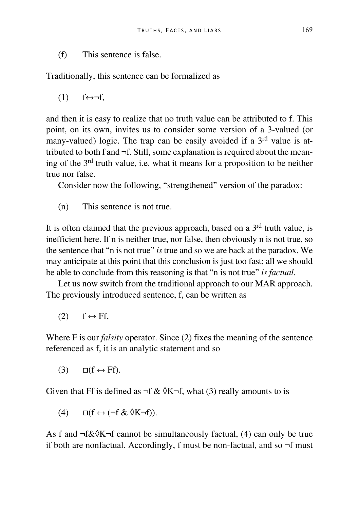(f) This sentence is false.

Traditionally, this sentence can be formalized as

 $(1)$   $f \leftrightarrow \neg f$ .

and then it is easy to realize that no truth value can be attributed to f. This point, on its own, invites us to consider some version of a 3-valued (or many-valued) logic. The trap can be easily avoided if a 3<sup>rd</sup> value is attributed to both f and ¬f. Still, some explanation is required about the meaning of the 3rd truth value, i.e. what it means for a proposition to be neither true nor false.

Consider now the following, "strengthened" version of the paradox:

(n) This sentence is not true.

It is often claimed that the previous approach, based on a  $3<sup>rd</sup>$  truth value, is inefficient here. If n is neither true, nor false, then obviously n is not true, so the sentence that "n is not true" *is* true and so we are back at the paradox. We may anticipate at this point that this conclusion is just too fast; all we should be able to conclude from this reasoning is that "n is not true" *is factual*.

Let us now switch from the traditional approach to our MAR approach. The previously introduced sentence, f, can be written as

 $(2)$   $f \leftrightarrow Ff$ ,

Where F is our *falsity* operator. Since (2) fixes the meaning of the sentence referenced as f, it is an analytic statement and so

 $(3)$   $\Box$ (f  $\leftrightarrow$  Ff).

Given that Ff is defined as  $\neg f \& \Diamond K \neg f$ , what (3) really amounts to is

(4)  $\Box(f \leftrightarrow (\neg f \& \Diamond K \neg f)).$ 

As f and  $\neg f \& \Diamond K \neg f$  cannot be simultaneously factual, (4) can only be true if both are nonfactual. Accordingly, f must be non-factual, and so ¬f must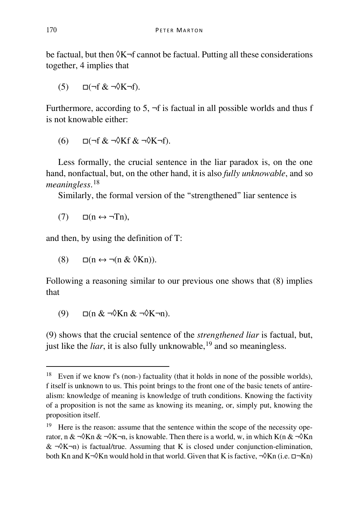be factual, but then  $\delta K$ -f cannot be factual. Putting all these considerations together, 4 implies that

 $(5)$   $\Box$ ( $\neg$ f &  $\neg$  $\Diamond$ K $\neg$ f).

Furthermore, according to 5,  $\neg$ f is factual in all possible worlds and thus f is not knowable either:

 $(6)$   $\Box$ (¬f &  $\neg$ ) $\Diamond$ Kf &  $\neg$ ) $\Diamond$ K $\neg$ f).

Less formally, the crucial sentence in the liar paradox is, on the one hand, nonfactual, but, on the other hand, it is also *fully unknowable*, and so *meaningless*. [18](#page-15-0)

Similarly, the formal version of the "strengthened" liar sentence is

 $(7)$   $\Box$ (n  $\leftrightarrow \neg$ Tn),

and then, by using the definition of T:

(8)  $\Box$ (n  $\leftrightarrow \neg$ (n &  $\Diamond$ Kn)).

Following a reasoning similar to our previous one shows that (8) implies that

 $(9)$   $\Box$ (n &  $\neg$ )  $\Diamond$ Kn &  $\neg$ )  $\Diamond$ K $\neg$ n).

(9) shows that the crucial sentence of the *strengthened liar* is factual, but, just like the *liar*, it is also fully unknowable,  $19$  and so meaningless.

<span id="page-15-0"></span><sup>&</sup>lt;sup>18</sup> Even if we know f's (non-) factuality (that it holds in none of the possible worlds), f itself is unknown to us. This point brings to the front one of the basic tenets of antirealism: knowledge of meaning is knowledge of truth conditions. Knowing the factivity of a proposition is not the same as knowing its meaning, or, simply put, knowing the proposition itself.

<span id="page-15-1"></span><sup>&</sup>lt;sup>19</sup> Here is the reason: assume that the sentence within the scope of the necessity operator, n &  $\neg$ \Rn &  $\neg$ \R $\neg$ n, is knowable. Then there is a world, w, in which K(n &  $\neg$ \Rn  $& \neg \Diamond K \neg n$ ) is factual/true. Assuming that K is closed under conjunction-elimination, both Kn and K¬◊Kn would hold in that world. Given that K is factive,  $\neg$ ◊Kn (i.e. □¬Kn)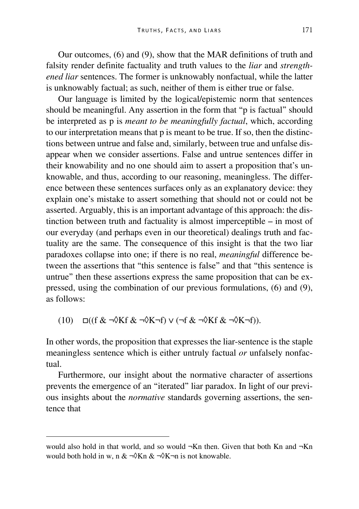Our outcomes, (6) and (9), show that the MAR definitions of truth and falsity render definite factuality and truth values to the *liar* and *strengthened liar* sentences. The former is unknowably nonfactual, while the latter is unknowably factual; as such, neither of them is either true or false.

Our language is limited by the logical/epistemic norm that sentences should be meaningful. Any assertion in the form that "p is factual" should be interpreted as p is *meant to be meaningfully factual*, which, according to our interpretation means that p is meant to be true. If so, then the distinctions between untrue and false and, similarly, between true and unfalse disappear when we consider assertions. False and untrue sentences differ in their knowability and no one should aim to assert a proposition that's unknowable, and thus, according to our reasoning, meaningless. The difference between these sentences surfaces only as an explanatory device: they explain one's mistake to assert something that should not or could not be asserted. Arguably, this is an important advantage of this approach: the distinction between truth and factuality is almost imperceptible – in most of our everyday (and perhaps even in our theoretical) dealings truth and factuality are the same. The consequence of this insight is that the two liar paradoxes collapse into one; if there is no real, *meaningful* difference between the assertions that "this sentence is false" and that "this sentence is untrue" then these assertions express the same proposition that can be expressed, using the combination of our previous formulations, (6) and (9), as follows:

 $(10)$   $\Box$ ((f &  $\neg \Diamond Kf$  &  $\neg \Diamond K\neg f$ )  $\lor$  ( $\neg f$  &  $\neg \Diamond Kf$  &  $\neg \Diamond K\neg f$ )).

In other words, the proposition that expresses the liar-sentence is the staple meaningless sentence which is either untruly factual *or* unfalsely nonfactual.

Furthermore, our insight about the normative character of assertions prevents the emergence of an "iterated" liar paradox. In light of our previous insights about the *normative* standards governing assertions, the sentence that

would also hold in that world, and so would  $\neg$ Kn then. Given that both Kn and  $\neg$ Kn would both hold in w, n &  $\neg$ \Kn &  $\neg$ \K $\neg$ n is not knowable.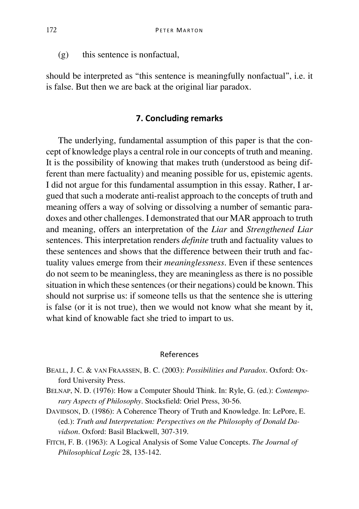(g) this sentence is nonfactual,

should be interpreted as "this sentence is meaningfully nonfactual", i.e. it is false. But then we are back at the original liar paradox.

### **7. Concluding remarks**

The underlying, fundamental assumption of this paper is that the concept of knowledge plays a central role in our concepts of truth and meaning. It is the possibility of knowing that makes truth (understood as being different than mere factuality) and meaning possible for us, epistemic agents. I did not argue for this fundamental assumption in this essay. Rather, I argued that such a moderate anti-realist approach to the concepts of truth and meaning offers a way of solving or dissolving a number of semantic paradoxes and other challenges. I demonstrated that our MAR approach to truth and meaning, offers an interpretation of the *Liar* and *Strengthened Liar* sentences. This interpretation renders *definite* truth and factuality values to these sentences and shows that the difference between their truth and factuality values emerge from their *meaninglessness*. Even if these sentences do not seem to be meaningless, they are meaningless as there is no possible situation in which these sentences (or their negations) could be known. This should not surprise us: if someone tells us that the sentence she is uttering is false (or it is not true), then we would not know what she meant by it, what kind of knowable fact she tried to impart to us.

#### References

- BEALL, J. C. & VAN FRAASSEN, B. C. (2003): *Possibilities and Paradox*. Oxford: Oxford University Press.
- BELNAP, N. D. (1976): How a Computer Should Think. In: Ryle, G. (ed.): *Contemporary Aspects of Philosophy*. Stocksfield: Oriel Press, 30-56.
- DAVIDSON, D. (1986): A Coherence Theory of Truth and Knowledge. In: LePore, E. (ed.): *Truth and Interpretation: Perspectives on the Philosophy of Donald Davidson*. Oxford: Basil Blackwell, 307-319.
- FITCH, F. B. (1963): A Logical Analysis of Some Value Concepts. *The Journal of Philosophical Logic* 28, 135-142.